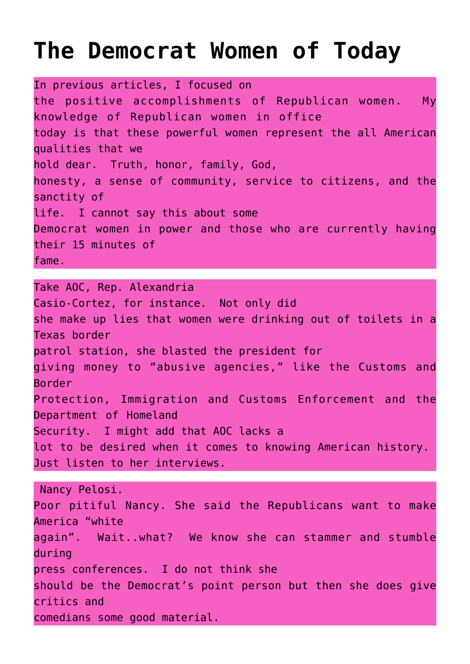## **[The Democrat Women of Today](https://columbuscountyconservative.com/index.php/negative-democrat-women/)**

In previous articles, I focused on the positive accomplishments of Republican women. My knowledge of Republican women in office today is that these powerful women represent the all American qualities that we hold dear. Truth, honor, family, God, honesty, a sense of community, service to citizens, and the sanctity of life. I cannot say this about some Democrat women in power and those who are currently having their 15 minutes of fame.

Take AOC, Rep. Alexandria Casio-Cortez, for instance. Not only did she make up lies that women were drinking out of toilets in a Texas border patrol station, she blasted the president for giving money to "abusive agencies," like the Customs and Border Protection, Immigration and Customs Enforcement and the Department of Homeland Security. I might add that AOC lacks a lot to be desired when it comes to knowing American history. Just listen to her interviews.

 Nancy Pelosi. Poor pitiful Nancy. She said the Republicans want to make America "white again". Wait..what? We know she can stammer and stumble during press conferences. I do not think she should be the Democrat's point person but then she does give critics and comedians some good material.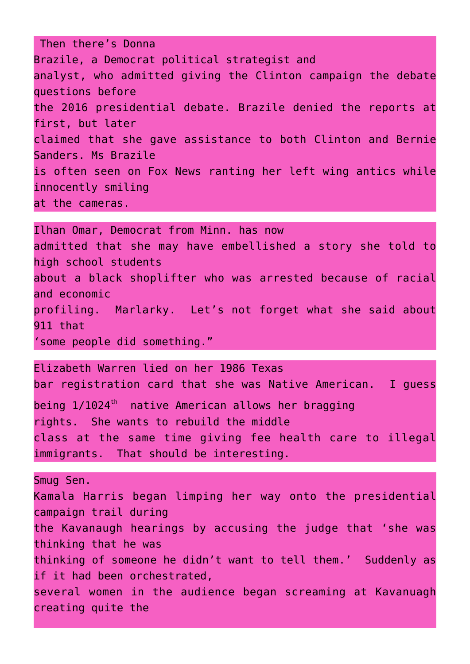Then there's Donna Brazile, a Democrat political strategist and analyst, who admitted giving the Clinton campaign the debate questions before the 2016 presidential debate. Brazile denied the reports at first, but later claimed that she gave assistance to both Clinton and Bernie Sanders. Ms Brazile is often seen on Fox News ranting her left wing antics while innocently smiling at the cameras.

Ilhan Omar, Democrat from Minn. has now admitted that she may have embellished a story she told to high school students about a black shoplifter who was arrested because of racial and economic profiling. Marlarky. Let's not forget what she said about 911 that 'some people did something."

Elizabeth Warren lied on her 1986 Texas bar registration card that she was Native American. I guess being  $1/1024<sup>th</sup>$  native American allows her bragging rights. She wants to rebuild the middle class at the same time giving fee health care to illegal immigrants. That should be interesting.

Smug Sen. Kamala Harris began limping her way onto the presidential campaign trail during the Kavanaugh hearings by accusing the judge that 'she was thinking that he was thinking of someone he didn't want to tell them.' Suddenly as if it had been orchestrated, several women in the audience began screaming at Kavanuagh creating quite the